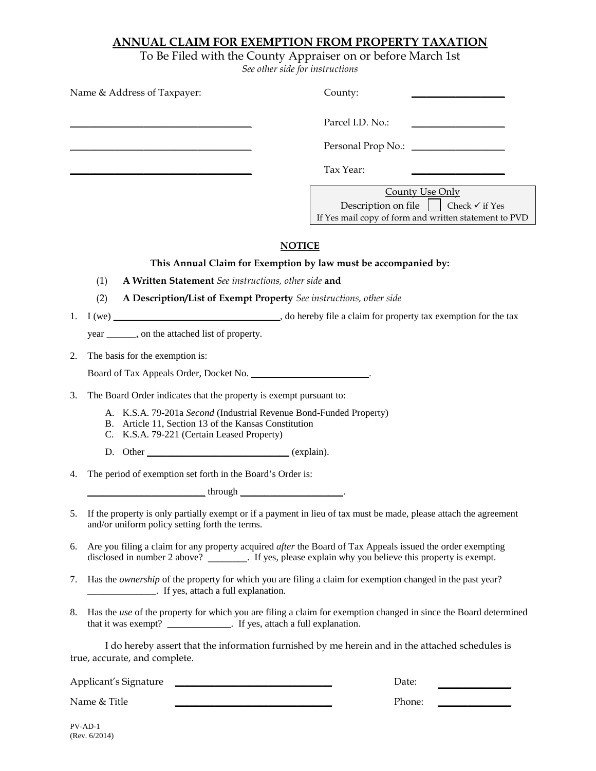### **ANNUAL CLAIM FOR EXEMPTION FROM PROPERTY TAXATION**

To Be Filed with the County Appraiser on or before March 1st *See other side for instructions*

| Name & Address of Taxpayer:                                                                                                                                              | County:                                                                                                                                                                                                                      |
|--------------------------------------------------------------------------------------------------------------------------------------------------------------------------|------------------------------------------------------------------------------------------------------------------------------------------------------------------------------------------------------------------------------|
|                                                                                                                                                                          | Parcel I.D. No.:<br><u> 1989 - Johann Barn, mars et al. (b. 1989)</u>                                                                                                                                                        |
|                                                                                                                                                                          |                                                                                                                                                                                                                              |
|                                                                                                                                                                          | Tax Year:                                                                                                                                                                                                                    |
|                                                                                                                                                                          | County Use Only<br>Description on file $\vert$ $\vert$ Check $\checkmark$ if Yes<br>If Yes mail copy of form and written statement to PVD                                                                                    |
|                                                                                                                                                                          | <b>NOTICE</b>                                                                                                                                                                                                                |
|                                                                                                                                                                          | This Annual Claim for Exemption by law must be accompanied by:                                                                                                                                                               |
| (1)<br>A Written Statement See instructions, other side and                                                                                                              |                                                                                                                                                                                                                              |
| (2)<br>A Description/List of Exempt Property See instructions, other side                                                                                                |                                                                                                                                                                                                                              |
| 1.                                                                                                                                                                       |                                                                                                                                                                                                                              |
| year ________, on the attached list of property.                                                                                                                         |                                                                                                                                                                                                                              |
| The basis for the exemption is:<br>2.                                                                                                                                    |                                                                                                                                                                                                                              |
|                                                                                                                                                                          |                                                                                                                                                                                                                              |
| 3.<br>The Board Order indicates that the property is exempt pursuant to:                                                                                                 |                                                                                                                                                                                                                              |
| A. K.S.A. 79-201a Second (Industrial Revenue Bond-Funded Property)<br>B. Article 11, Section 13 of the Kansas Constitution<br>C. K.S.A. 79-221 (Certain Leased Property) |                                                                                                                                                                                                                              |
|                                                                                                                                                                          |                                                                                                                                                                                                                              |
| The period of exemption set forth in the Board's Order is:<br>4.                                                                                                         |                                                                                                                                                                                                                              |
| through                                                                                                                                                                  |                                                                                                                                                                                                                              |
| and/or uniform policy setting forth the terms.                                                                                                                           | 5. If the property is only partially exempt or if a payment in lieu of tax must be made, please attach the agreement                                                                                                         |
| 6.                                                                                                                                                                       | Are you filing a claim for any property acquired <i>after</i> the Board of Tax Appeals issued the order exempting<br>disclosed in number 2 above? _________. If yes, please explain why you believe this property is exempt. |
| 7.<br>_________________. If yes, attach a full explanation.                                                                                                              | Has the ownership of the property for which you are filing a claim for exemption changed in the past year?                                                                                                                   |
| 8.<br>that it was exempt? ______________. If yes, attach a full explanation.                                                                                             | Has the use of the property for which you are filing a claim for exemption changed in since the Board determined                                                                                                             |
| true, accurate, and complete.                                                                                                                                            | I do hereby assert that the information furnished by me herein and in the attached schedules is                                                                                                                              |
| <u> 2000 - Jan James James James James James James James James James James James James James James James James Ja</u><br>Applicant's Signature                           | Date:                                                                                                                                                                                                                        |
| Name & Title                                                                                                                                                             | Phone:                                                                                                                                                                                                                       |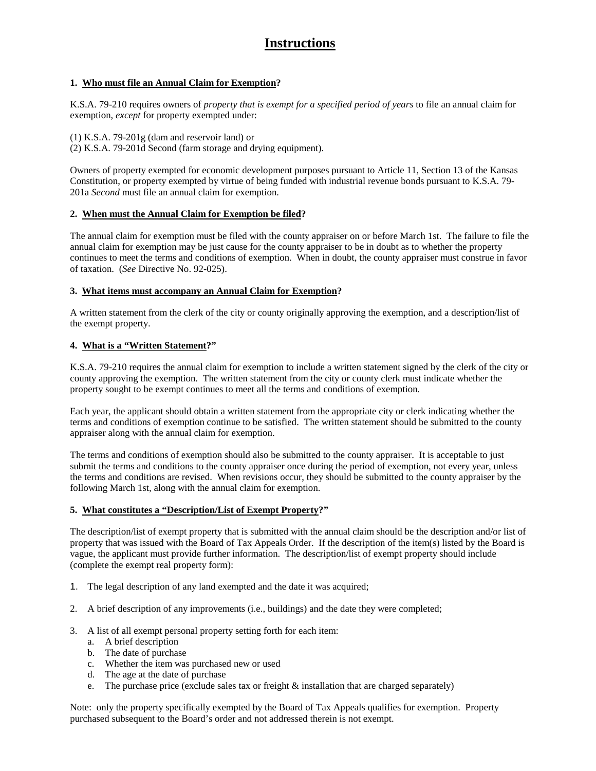# **Instructions**

### **1. Who must file an Annual Claim for Exemption?**

K.S.A. 79-210 requires owners of *property that is exempt for a specified period of years* to file an annual claim for exemption, *except* for property exempted under:

(1) K.S.A. 79-201g (dam and reservoir land) or (2) K.S.A. 79-201d Second (farm storage and drying equipment).

Owners of property exempted for economic development purposes pursuant to Article 11, Section 13 of the Kansas Constitution, or property exempted by virtue of being funded with industrial revenue bonds pursuant to K.S.A. 79- 201a *Second* must file an annual claim for exemption.

#### **2. When must the Annual Claim for Exemption be filed?**

The annual claim for exemption must be filed with the county appraiser on or before March 1st. The failure to file the annual claim for exemption may be just cause for the county appraiser to be in doubt as to whether the property continues to meet the terms and conditions of exemption. When in doubt, the county appraiser must construe in favor of taxation. (*See* Directive No. 92-025).

#### **3. What items must accompany an Annual Claim for Exemption?**

A written statement from the clerk of the city or county originally approving the exemption, and a description/list of the exempt property.

#### **4. What is a "Written Statement?"**

K.S.A. 79-210 requires the annual claim for exemption to include a written statement signed by the clerk of the city or county approving the exemption. The written statement from the city or county clerk must indicate whether the property sought to be exempt continues to meet all the terms and conditions of exemption.

Each year, the applicant should obtain a written statement from the appropriate city or clerk indicating whether the terms and conditions of exemption continue to be satisfied. The written statement should be submitted to the county appraiser along with the annual claim for exemption.

The terms and conditions of exemption should also be submitted to the county appraiser. It is acceptable to just submit the terms and conditions to the county appraiser once during the period of exemption, not every year, unless the terms and conditions are revised. When revisions occur, they should be submitted to the county appraiser by the following March 1st, along with the annual claim for exemption.

#### **5. What constitutes a "Description/List of Exempt Property?"**

The description/list of exempt property that is submitted with the annual claim should be the description and/or list of property that was issued with the Board of Tax Appeals Order. If the description of the item(s) listed by the Board is vague, the applicant must provide further information. The description/list of exempt property should include (complete the exempt real property form):

- 1. The legal description of any land exempted and the date it was acquired;
- 2. A brief description of any improvements (i.e., buildings) and the date they were completed;
- 3. A list of all exempt personal property setting forth for each item:
	- a. A brief description
	- b. The date of purchase
	- c. Whether the item was purchased new or used
	- d. The age at the date of purchase
	- e. The purchase price (exclude sales tax or freight  $\&$  installation that are charged separately)

Note: only the property specifically exempted by the Board of Tax Appeals qualifies for exemption. Property purchased subsequent to the Board's order and not addressed therein is not exempt.